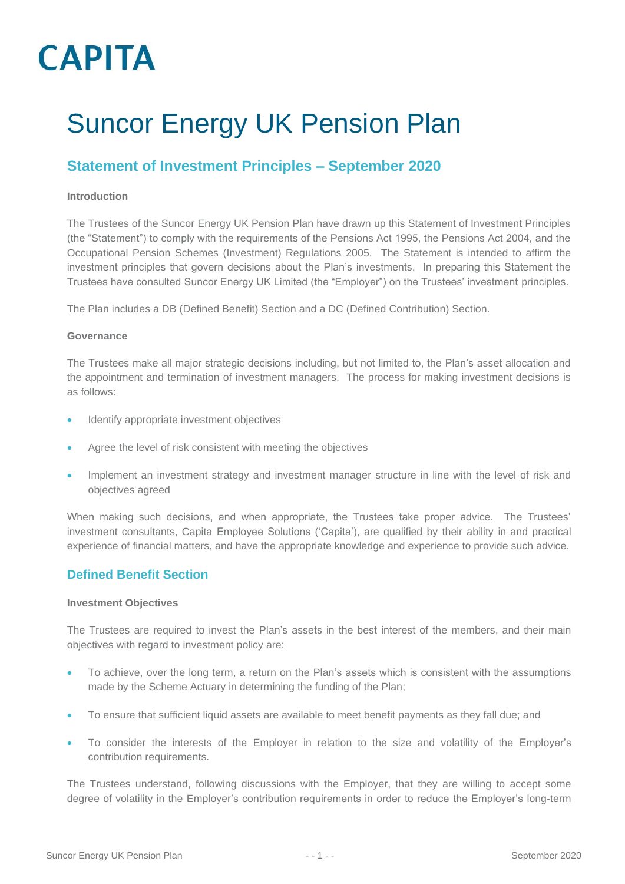## Suncor Energy UK Pension Plan

### **Statement of Investment Principles – September 2020**

### **Introduction**

The Trustees of the Suncor Energy UK Pension Plan have drawn up this Statement of Investment Principles (the "Statement") to comply with the requirements of the Pensions Act 1995, the Pensions Act 2004, and the Occupational Pension Schemes (Investment) Regulations 2005. The Statement is intended to affirm the investment principles that govern decisions about the Plan's investments. In preparing this Statement the Trustees have consulted Suncor Energy UK Limited (the "Employer") on the Trustees' investment principles.

The Plan includes a DB (Defined Benefit) Section and a DC (Defined Contribution) Section.

### **Governance**

The Trustees make all major strategic decisions including, but not limited to, the Plan's asset allocation and the appointment and termination of investment managers. The process for making investment decisions is as follows:

- Identify appropriate investment objectives
- Agree the level of risk consistent with meeting the objectives
- Implement an investment strategy and investment manager structure in line with the level of risk and objectives agreed

When making such decisions, and when appropriate, the Trustees take proper advice. The Trustees' investment consultants, Capita Employee Solutions ('Capita'), are qualified by their ability in and practical experience of financial matters, and have the appropriate knowledge and experience to provide such advice.

### **Defined Benefit Section**

### **Investment Objectives**

The Trustees are required to invest the Plan's assets in the best interest of the members, and their main objectives with regard to investment policy are:

- To achieve, over the long term, a return on the Plan's assets which is consistent with the assumptions made by the Scheme Actuary in determining the funding of the Plan;
- To ensure that sufficient liquid assets are available to meet benefit payments as they fall due; and
- To consider the interests of the Employer in relation to the size and volatility of the Employer's contribution requirements.

The Trustees understand, following discussions with the Employer, that they are willing to accept some degree of volatility in the Employer's contribution requirements in order to reduce the Employer's long-term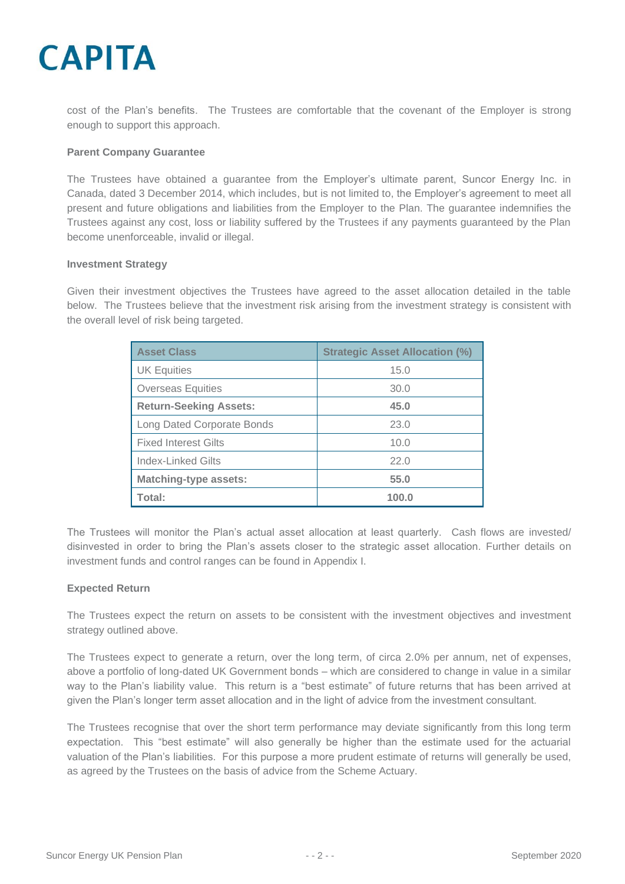cost of the Plan's benefits. The Trustees are comfortable that the covenant of the Employer is strong enough to support this approach.

### **Parent Company Guarantee**

The Trustees have obtained a guarantee from the Employer's ultimate parent, Suncor Energy Inc. in Canada, dated 3 December 2014, which includes, but is not limited to, the Employer's agreement to meet all present and future obligations and liabilities from the Employer to the Plan. The guarantee indemnifies the Trustees against any cost, loss or liability suffered by the Trustees if any payments guaranteed by the Plan become unenforceable, invalid or illegal.

#### **Investment Strategy**

Given their investment objectives the Trustees have agreed to the asset allocation detailed in the table below. The Trustees believe that the investment risk arising from the investment strategy is consistent with the overall level of risk being targeted.

| <b>Asset Class</b>                | <b>Strategic Asset Allocation (%)</b> |
|-----------------------------------|---------------------------------------|
| <b>UK Equities</b>                | 15.0                                  |
| <b>Overseas Equities</b>          | 30.0                                  |
| <b>Return-Seeking Assets:</b>     | 45.0                                  |
| <b>Long Dated Corporate Bonds</b> | 23.0                                  |
| <b>Fixed Interest Gilts</b>       | 10.0                                  |
| Index-Linked Gilts                | 22.0                                  |
| <b>Matching-type assets:</b>      | 55.0                                  |
| Total:                            | 100.0                                 |

The Trustees will monitor the Plan's actual asset allocation at least quarterly. Cash flows are invested/ disinvested in order to bring the Plan's assets closer to the strategic asset allocation. Further details on investment funds and control ranges can be found in Appendix I.

### **Expected Return**

The Trustees expect the return on assets to be consistent with the investment objectives and investment strategy outlined above.

The Trustees expect to generate a return, over the long term, of circa 2.0% per annum, net of expenses, above a portfolio of long-dated UK Government bonds – which are considered to change in value in a similar way to the Plan's liability value. This return is a "best estimate" of future returns that has been arrived at given the Plan's longer term asset allocation and in the light of advice from the investment consultant.

The Trustees recognise that over the short term performance may deviate significantly from this long term expectation. This "best estimate" will also generally be higher than the estimate used for the actuarial valuation of the Plan's liabilities. For this purpose a more prudent estimate of returns will generally be used, as agreed by the Trustees on the basis of advice from the Scheme Actuary.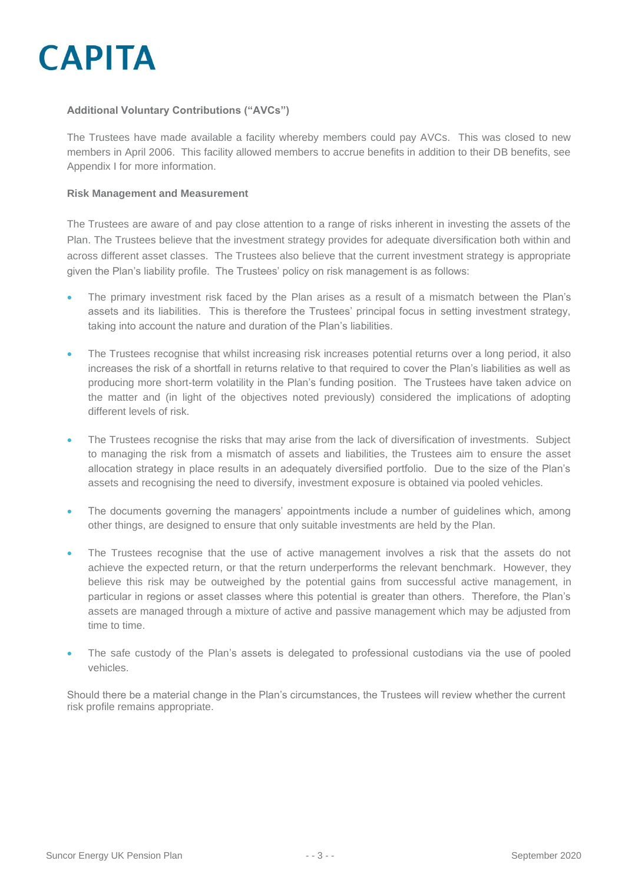

### **Additional Voluntary Contributions ("AVCs")**

The Trustees have made available a facility whereby members could pay AVCs. This was closed to new members in April 2006. This facility allowed members to accrue benefits in addition to their DB benefits, see Appendix I for more information.

### **Risk Management and Measurement**

The Trustees are aware of and pay close attention to a range of risks inherent in investing the assets of the Plan. The Trustees believe that the investment strategy provides for adequate diversification both within and across different asset classes. The Trustees also believe that the current investment strategy is appropriate given the Plan's liability profile. The Trustees' policy on risk management is as follows:

- The primary investment risk faced by the Plan arises as a result of a mismatch between the Plan's assets and its liabilities. This is therefore the Trustees' principal focus in setting investment strategy, taking into account the nature and duration of the Plan's liabilities.
- The Trustees recognise that whilst increasing risk increases potential returns over a long period, it also increases the risk of a shortfall in returns relative to that required to cover the Plan's liabilities as well as producing more short-term volatility in the Plan's funding position. The Trustees have taken advice on the matter and (in light of the objectives noted previously) considered the implications of adopting different levels of risk.
- The Trustees recognise the risks that may arise from the lack of diversification of investments. Subject to managing the risk from a mismatch of assets and liabilities, the Trustees aim to ensure the asset allocation strategy in place results in an adequately diversified portfolio. Due to the size of the Plan's assets and recognising the need to diversify, investment exposure is obtained via pooled vehicles.
- The documents governing the managers' appointments include a number of guidelines which, among other things, are designed to ensure that only suitable investments are held by the Plan.
- The Trustees recognise that the use of active management involves a risk that the assets do not achieve the expected return, or that the return underperforms the relevant benchmark. However, they believe this risk may be outweighed by the potential gains from successful active management, in particular in regions or asset classes where this potential is greater than others. Therefore, the Plan's assets are managed through a mixture of active and passive management which may be adjusted from time to time.
- The safe custody of the Plan's assets is delegated to professional custodians via the use of pooled vehicles.

Should there be a material change in the Plan's circumstances, the Trustees will review whether the current risk profile remains appropriate.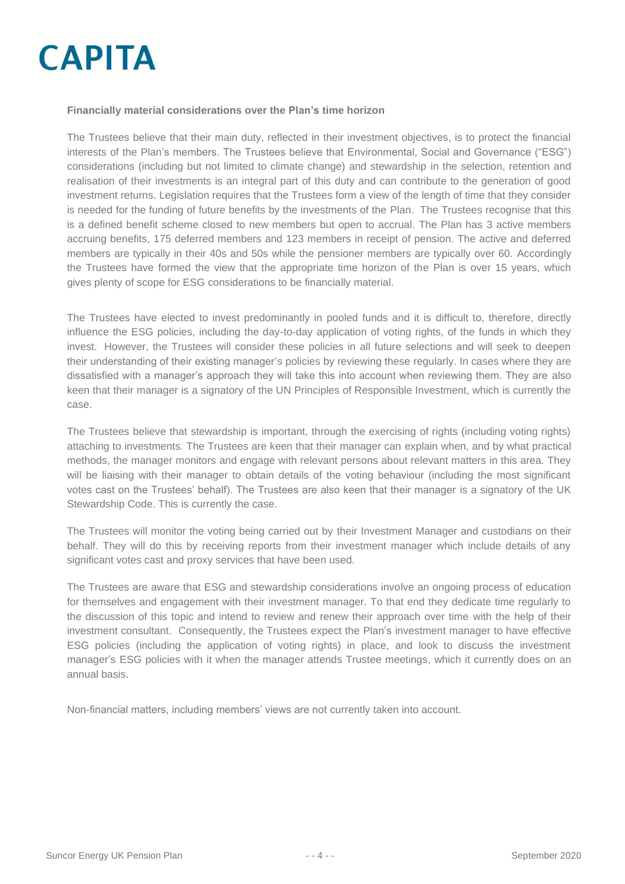### **Financially material considerations over the Plan's time horizon**

The Trustees believe that their main duty, reflected in their investment objectives, is to protect the financial interests of the Plan's members. The Trustees believe that Environmental, Social and Governance ("ESG") considerations (including but not limited to climate change) and stewardship in the selection, retention and realisation of their investments is an integral part of this duty and can contribute to the generation of good investment returns. Legislation requires that the Trustees form a view of the length of time that they consider is needed for the funding of future benefits by the investments of the Plan. The Trustees recognise that this is a defined benefit scheme closed to new members but open to accrual. The Plan has 3 active members accruing benefits, 175 deferred members and 123 members in receipt of pension. The active and deferred members are typically in their 40s and 50s while the pensioner members are typically over 60. Accordingly the Trustees have formed the view that the appropriate time horizon of the Plan is over 15 years, which gives plenty of scope for ESG considerations to be financially material.

The Trustees have elected to invest predominantly in pooled funds and it is difficult to, therefore, directly influence the ESG policies, including the day-to-day application of voting rights, of the funds in which they invest. However, the Trustees will consider these policies in all future selections and will seek to deepen their understanding of their existing manager's policies by reviewing these regularly. In cases where they are dissatisfied with a manager's approach they will take this into account when reviewing them. They are also keen that their manager is a signatory of the UN Principles of Responsible Investment, which is currently the case.

The Trustees believe that stewardship is important, through the exercising of rights (including voting rights) attaching to investments. The Trustees are keen that their manager can explain when, and by what practical methods, the manager monitors and engage with relevant persons about relevant matters in this area. They will be liaising with their manager to obtain details of the voting behaviour (including the most significant votes cast on the Trustees' behalf). The Trustees are also keen that their manager is a signatory of the UK Stewardship Code. This is currently the case.

The Trustees will monitor the voting being carried out by their Investment Manager and custodians on their behalf. They will do this by receiving reports from their investment manager which include details of any significant votes cast and proxy services that have been used.

The Trustees are aware that ESG and stewardship considerations involve an ongoing process of education for themselves and engagement with their investment manager. To that end they dedicate time regularly to the discussion of this topic and intend to review and renew their approach over time with the help of their investment consultant.Consequently, the Trustees expect the Plan's investment manager to have effective ESG policies (including the application of voting rights) in place, and look to discuss the investment manager's ESG policies with it when the manager attends Trustee meetings, which it currently does on an annual basis.

Non-financial matters, including members' views are not currently taken into account.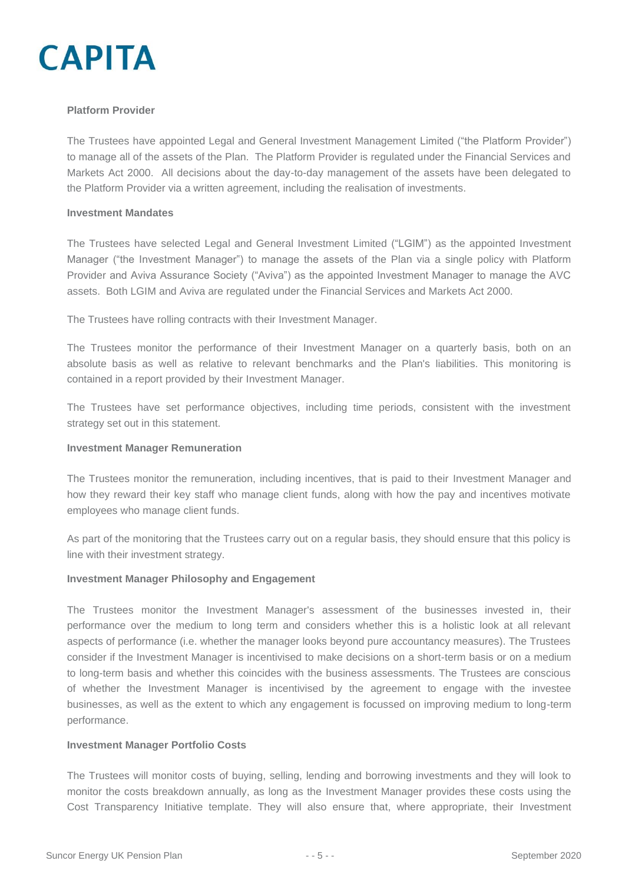

### **Platform Provider**

The Trustees have appointed Legal and General Investment Management Limited ("the Platform Provider") to manage all of the assets of the Plan. The Platform Provider is regulated under the Financial Services and Markets Act 2000. All decisions about the day-to-day management of the assets have been delegated to the Platform Provider via a written agreement, including the realisation of investments.

#### **Investment Mandates**

The Trustees have selected Legal and General Investment Limited ("LGIM") as the appointed Investment Manager ("the Investment Manager") to manage the assets of the Plan via a single policy with Platform Provider and Aviva Assurance Society ("Aviva") as the appointed Investment Manager to manage the AVC assets. Both LGIM and Aviva are regulated under the Financial Services and Markets Act 2000.

The Trustees have rolling contracts with their Investment Manager.

The Trustees monitor the performance of their Investment Manager on a quarterly basis, both on an absolute basis as well as relative to relevant benchmarks and the Plan's liabilities. This monitoring is contained in a report provided by their Investment Manager.

The Trustees have set performance objectives, including time periods, consistent with the investment strategy set out in this statement.

#### **Investment Manager Remuneration**

The Trustees monitor the remuneration, including incentives, that is paid to their Investment Manager and how they reward their key staff who manage client funds, along with how the pay and incentives motivate employees who manage client funds.

As part of the monitoring that the Trustees carry out on a regular basis, they should ensure that this policy is line with their investment strategy.

### **Investment Manager Philosophy and Engagement**

The Trustees monitor the Investment Manager's assessment of the businesses invested in, their performance over the medium to long term and considers whether this is a holistic look at all relevant aspects of performance (i.e. whether the manager looks beyond pure accountancy measures). The Trustees consider if the Investment Manager is incentivised to make decisions on a short-term basis or on a medium to long-term basis and whether this coincides with the business assessments. The Trustees are conscious of whether the Investment Manager is incentivised by the agreement to engage with the investee businesses, as well as the extent to which any engagement is focussed on improving medium to long-term performance.

### **Investment Manager Portfolio Costs**

The Trustees will monitor costs of buying, selling, lending and borrowing investments and they will look to monitor the costs breakdown annually, as long as the Investment Manager provides these costs using the Cost Transparency Initiative template. They will also ensure that, where appropriate, their Investment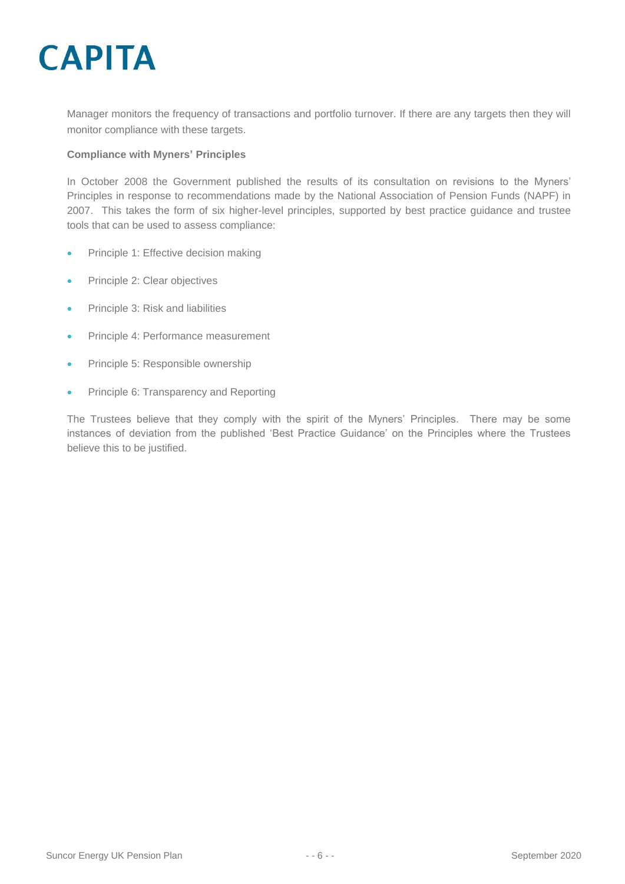Manager monitors the frequency of transactions and portfolio turnover. If there are any targets then they will monitor compliance with these targets.

### **Compliance with Myners' Principles**

In October 2008 the Government published the results of its consultation on revisions to the Myners' Principles in response to recommendations made by the National Association of Pension Funds (NAPF) in 2007. This takes the form of six higher-level principles, supported by best practice guidance and trustee tools that can be used to assess compliance:

- Principle 1: Effective decision making
- Principle 2: Clear objectives
- Principle 3: Risk and liabilities
- Principle 4: Performance measurement
- Principle 5: Responsible ownership
- Principle 6: Transparency and Reporting

The Trustees believe that they comply with the spirit of the Myners' Principles. There may be some instances of deviation from the published 'Best Practice Guidance' on the Principles where the Trustees believe this to be justified.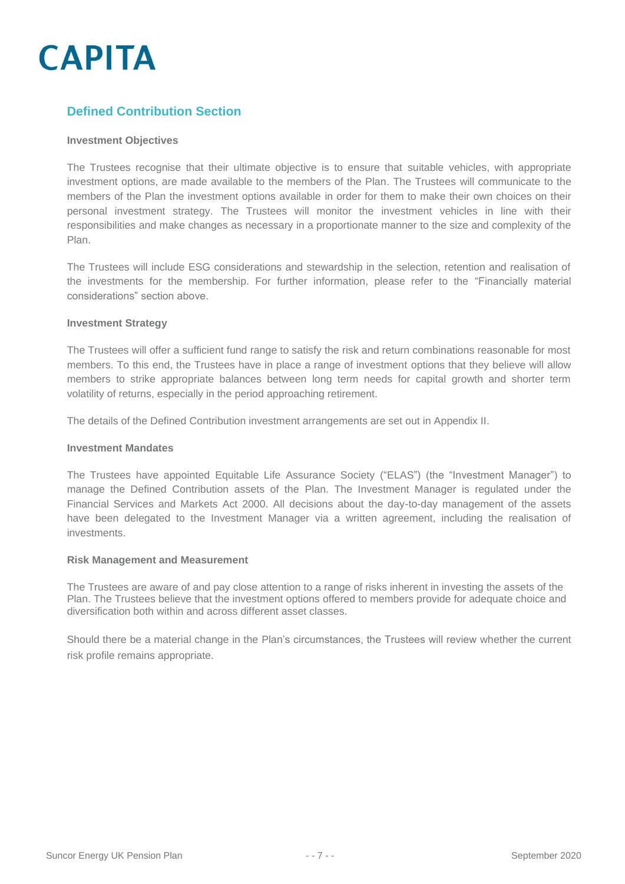### **Defined Contribution Section**

### **Investment Objectives**

The Trustees recognise that their ultimate objective is to ensure that suitable vehicles, with appropriate investment options, are made available to the members of the Plan. The Trustees will communicate to the members of the Plan the investment options available in order for them to make their own choices on their personal investment strategy. The Trustees will monitor the investment vehicles in line with their responsibilities and make changes as necessary in a proportionate manner to the size and complexity of the Plan.

The Trustees will include ESG considerations and stewardship in the selection, retention and realisation of the investments for the membership. For further information, please refer to the "Financially material considerations" section above.

### **Investment Strategy**

The Trustees will offer a sufficient fund range to satisfy the risk and return combinations reasonable for most members. To this end, the Trustees have in place a range of investment options that they believe will allow members to strike appropriate balances between long term needs for capital growth and shorter term volatility of returns, especially in the period approaching retirement.

The details of the Defined Contribution investment arrangements are set out in Appendix II.

#### **Investment Mandates**

The Trustees have appointed Equitable Life Assurance Society ("ELAS") (the "Investment Manager") to manage the Defined Contribution assets of the Plan. The Investment Manager is regulated under the Financial Services and Markets Act 2000. All decisions about the day-to-day management of the assets have been delegated to the Investment Manager via a written agreement, including the realisation of investments.

#### **Risk Management and Measurement**

The Trustees are aware of and pay close attention to a range of risks inherent in investing the assets of the Plan. The Trustees believe that the investment options offered to members provide for adequate choice and diversification both within and across different asset classes.

Should there be a material change in the Plan's circumstances, the Trustees will review whether the current risk profile remains appropriate.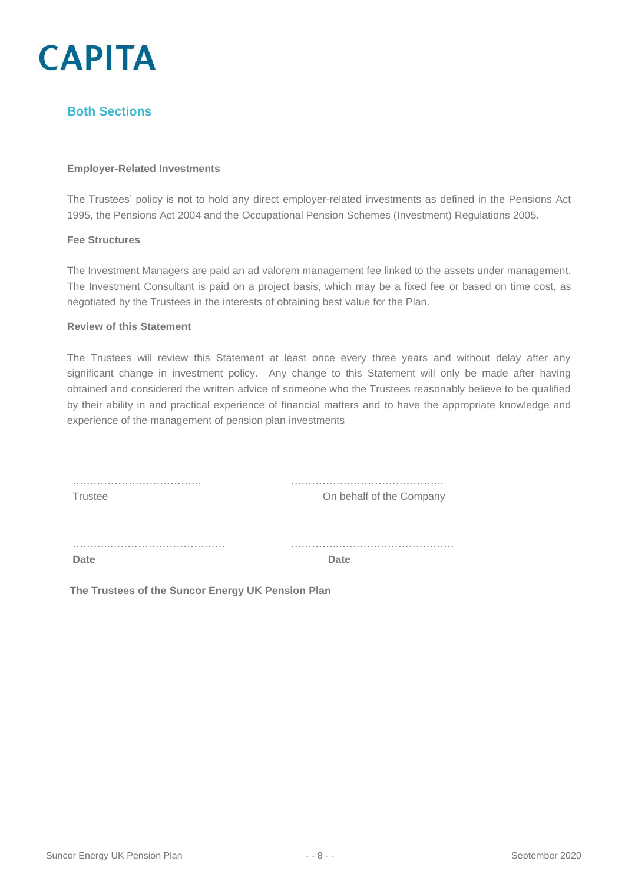

### **Both Sections**

### **Employer-Related Investments**

The Trustees' policy is not to hold any direct employer-related investments as defined in the Pensions Act 1995, the Pensions Act 2004 and the Occupational Pension Schemes (Investment) Regulations 2005.

### **Fee Structures**

The Investment Managers are paid an ad valorem management fee linked to the assets under management. The Investment Consultant is paid on a project basis, which may be a fixed fee or based on time cost, as negotiated by the Trustees in the interests of obtaining best value for the Plan.

#### **Review of this Statement**

The Trustees will review this Statement at least once every three years and without delay after any significant change in investment policy. Any change to this Statement will only be made after having obtained and considered the written advice of someone who the Trustees reasonably believe to be qualified by their ability in and practical experience of financial matters and to have the appropriate knowledge and experience of the management of pension plan investments

| Trustee | On behalf of the Company |
|---------|--------------------------|
|         | .                        |
| Date    | <b>Date</b>              |

**The Trustees of the Suncor Energy UK Pension Plan**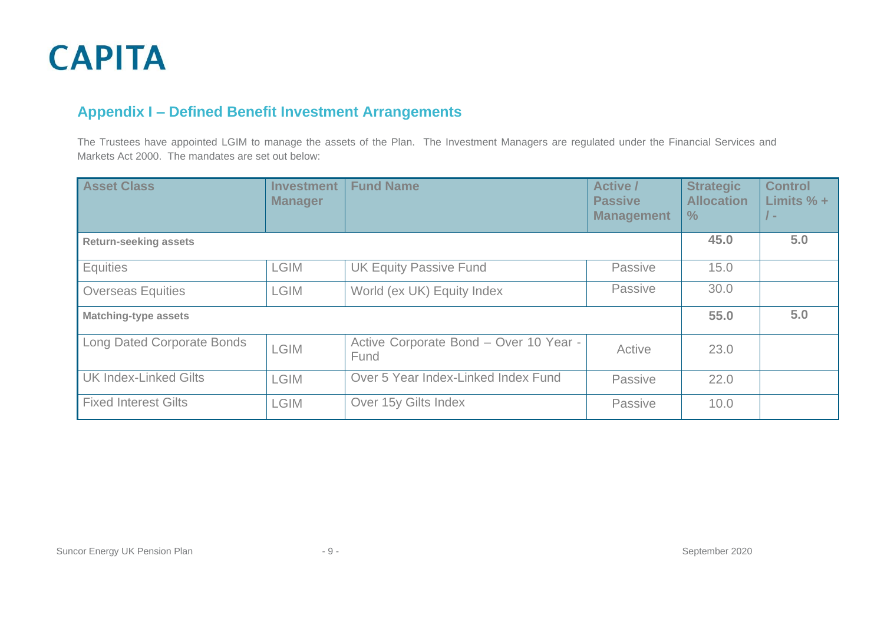### **Appendix I – Defined Benefit Investment Arrangements**

The Trustees have appointed LGIM to manage the assets of the Plan. The Investment Managers are regulated under the Financial Services and Markets Act 2000. The mandates are set out below:

| <b>Asset Class</b>                | <b>Investment</b><br><b>Manager</b> | <b>Fund Name</b>                               | <b>Active /</b><br><b>Passive</b><br><b>Management</b> | <b>Strategic</b><br><b>Allocation</b><br>$\%$ | <b>Control</b><br>Limits $% +$<br>$\sqrt{ }$ – |
|-----------------------------------|-------------------------------------|------------------------------------------------|--------------------------------------------------------|-----------------------------------------------|------------------------------------------------|
| <b>Return-seeking assets</b>      |                                     |                                                | 45.0                                                   | 5.0                                           |                                                |
| Equities                          | <b>LGIM</b>                         | <b>UK Equity Passive Fund</b>                  | Passive                                                | 15.0                                          |                                                |
| <b>Overseas Equities</b>          | <b>LGIM</b>                         | World (ex UK) Equity Index                     | Passive                                                | 30.0                                          |                                                |
| <b>Matching-type assets</b>       |                                     |                                                | 55.0                                                   | 5.0                                           |                                                |
| <b>Long Dated Corporate Bonds</b> | <b>LGIM</b>                         | Active Corporate Bond - Over 10 Year -<br>Fund | Active                                                 | 23.0                                          |                                                |
| <b>UK Index-Linked Gilts</b>      | <b>LGIM</b>                         | Over 5 Year Index-Linked Index Fund            | Passive                                                | 22.0                                          |                                                |
| <b>Fixed Interest Gilts</b>       | <b>LGIM</b>                         | Over 15y Gilts Index                           | Passive                                                | 10.0                                          |                                                |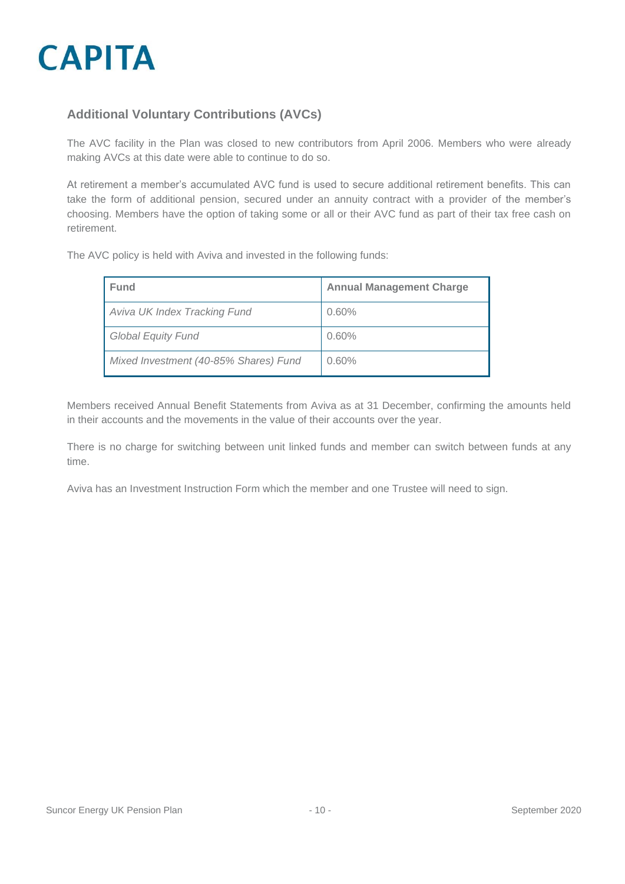

### **Additional Voluntary Contributions (AVCs)**

The AVC facility in the Plan was closed to new contributors from April 2006. Members who were already making AVCs at this date were able to continue to do so.

At retirement a member's accumulated AVC fund is used to secure additional retirement benefits. This can take the form of additional pension, secured under an annuity contract with a provider of the member's choosing. Members have the option of taking some or all or their AVC fund as part of their tax free cash on retirement.

The AVC policy is held with Aviva and invested in the following funds:

| Fund                                  | <b>Annual Management Charge</b> |
|---------------------------------------|---------------------------------|
| Aviva UK Index Tracking Fund          | 0.60%                           |
| <b>Global Equity Fund</b>             | 0.60%                           |
| Mixed Investment (40-85% Shares) Fund | 0.60%                           |

Members received Annual Benefit Statements from Aviva as at 31 December, confirming the amounts held in their accounts and the movements in the value of their accounts over the year.

There is no charge for switching between unit linked funds and member can switch between funds at any time.

Aviva has an Investment Instruction Form which the member and one Trustee will need to sign.